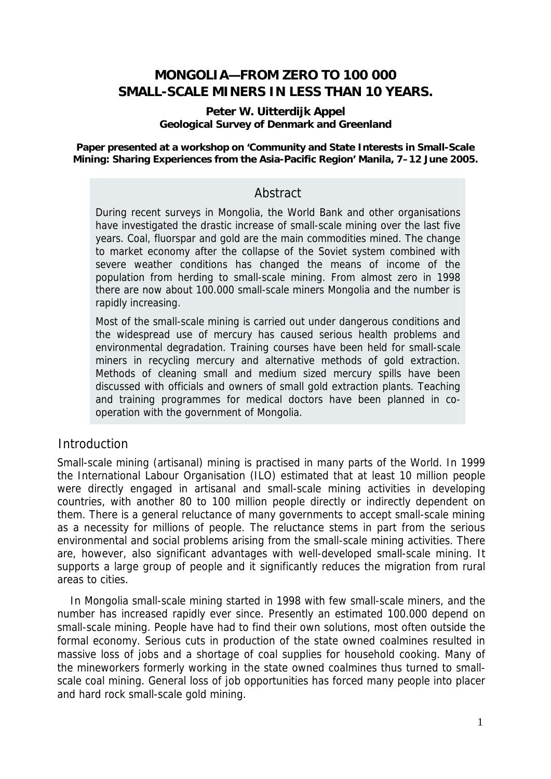# **MONGOLIA—FROM ZERO TO 100 000 SMALL-SCALE MINERS IN LESS THAN 10 YEARS.**

#### **Peter W. Uitterdijk Appel Geological Survey of Denmark and Greenland**

**Paper presented at a workshop on 'Community and State Interests in Small-Scale Mining: Sharing Experiences from the Asia-Pacific Region' Manila, 7–12 June 2005.** 

### Abstract

During recent surveys in Mongolia, the World Bank and other organisations have investigated the drastic increase of small-scale mining over the last five years. Coal, fluorspar and gold are the main commodities mined. The change to market economy after the collapse of the Soviet system combined with severe weather conditions has changed the means of income of the population from herding to small-scale mining. From almost zero in 1998 there are now about 100.000 small-scale miners Mongolia and the number is rapidly increasing.

Most of the small-scale mining is carried out under dangerous conditions and the widespread use of mercury has caused serious health problems and environmental degradation. Training courses have been held for small-scale miners in recycling mercury and alternative methods of gold extraction. Methods of cleaning small and medium sized mercury spills have been discussed with officials and owners of small gold extraction plants. Teaching and training programmes for medical doctors have been planned in cooperation with the government of Mongolia.

## Introduction

Small-scale mining (artisanal) mining is practised in many parts of the World. In 1999 the International Labour Organisation (ILO) estimated that at least 10 million people were directly engaged in artisanal and small-scale mining activities in developing countries, with another 80 to 100 million people directly or indirectly dependent on them. There is a general reluctance of many governments to accept small-scale mining as a necessity for millions of people. The reluctance stems in part from the serious environmental and social problems arising from the small-scale mining activities. There are, however, also significant advantages with well-developed small-scale mining. It supports a large group of people and it significantly reduces the migration from rural areas to cities.

In Mongolia small-scale mining started in 1998 with few small-scale miners, and the number has increased rapidly ever since. Presently an estimated 100.000 depend on small-scale mining. People have had to find their own solutions, most often outside the formal economy. Serious cuts in production of the state owned coalmines resulted in massive loss of jobs and a shortage of coal supplies for household cooking. Many of the mineworkers formerly working in the state owned coalmines thus turned to smallscale coal mining. General loss of job opportunities has forced many people into placer and hard rock small-scale gold mining.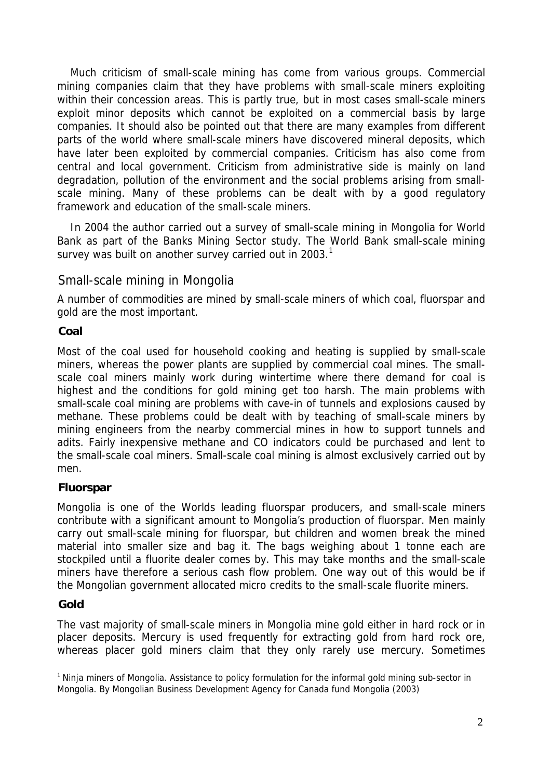Much criticism of small-scale mining has come from various groups. Commercial mining companies claim that they have problems with small-scale miners exploiting within their concession areas. This is partly true, but in most cases small-scale miners exploit minor deposits which cannot be exploited on a commercial basis by large companies. It should also be pointed out that there are many examples from different parts of the world where small-scale miners have discovered mineral deposits, which have later been exploited by commercial companies. Criticism has also come from central and local government. Criticism from administrative side is mainly on land degradation, pollution of the environment and the social problems arising from smallscale mining. Many of these problems can be dealt with by a good regulatory framework and education of the small-scale miners.

In 2004 the author carried out a survey of small-scale mining in Mongolia for World Bank as part of the Banks Mining Sector study. The World Bank small-scale mining survey was built on another survey carried out in 2003. $<sup>1</sup>$  $<sup>1</sup>$  $<sup>1</sup>$ </sup>

## Small-scale mining in Mongolia

A number of commodities are mined by small-scale miners of which coal, fluorspar and gold are the most important.

### **Coal**

Most of the coal used for household cooking and heating is supplied by small-scale miners, whereas the power plants are supplied by commercial coal mines. The smallscale coal miners mainly work during wintertime where there demand for coal is highest and the conditions for gold mining get too harsh. The main problems with small-scale coal mining are problems with cave-in of tunnels and explosions caused by methane. These problems could be dealt with by teaching of small-scale miners by mining engineers from the nearby commercial mines in how to support tunnels and adits. Fairly inexpensive methane and CO indicators could be purchased and lent to the small-scale coal miners. Small-scale coal mining is almost exclusively carried out by men.

## **Fluorspar**

Mongolia is one of the Worlds leading fluorspar producers, and small-scale miners contribute with a significant amount to Mongolia's production of fluorspar. Men mainly carry out small-scale mining for fluorspar, but children and women break the mined material into smaller size and bag it. The bags weighing about 1 tonne each are stockpiled until a fluorite dealer comes by. This may take months and the small-scale miners have therefore a serious cash flow problem. One way out of this would be if the Mongolian government allocated micro credits to the small-scale fluorite miners.

## **Gold**

The vast majority of small-scale miners in Mongolia mine gold either in hard rock or in placer deposits. Mercury is used frequently for extracting gold from hard rock ore, whereas placer gold miners claim that they only rarely use mercury. Sometimes

<span id="page-1-0"></span><sup>&</sup>lt;sup>1</sup> Ninja miners of Mongolia. Assistance to policy formulation for the informal gold mining sub-sector in Mongolia. By Mongolian Business Development Agency for Canada fund Mongolia (2003)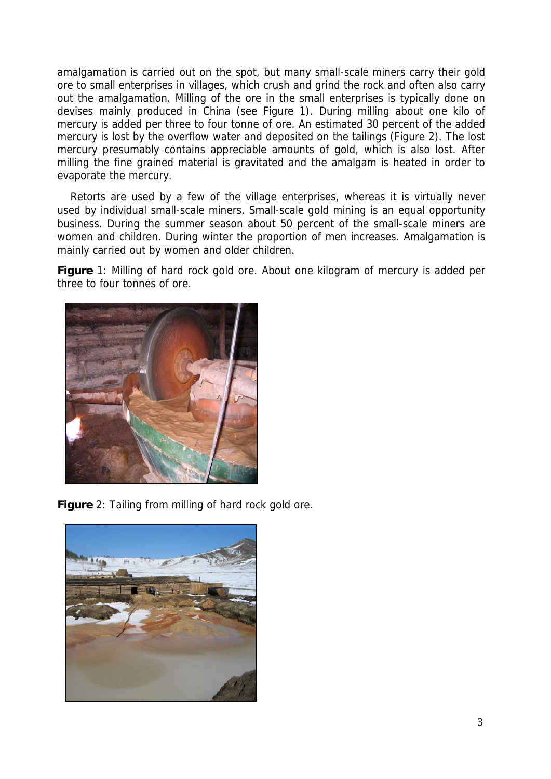amalgamation is carried out on the spot, but many small-scale miners carry their gold ore to small enterprises in villages, which crush and grind the rock and often also carry out the amalgamation. Milling of the ore in the small enterprises is typically done on devises mainly produced in China (see Figure 1). During milling about one kilo of mercury is added per three to four tonne of ore. An estimated 30 percent of the added mercury is lost by the overflow water and deposited on the tailings (Figure 2). The lost mercury presumably contains appreciable amounts of gold, which is also lost. After milling the fine grained material is gravitated and the amalgam is heated in order to evaporate the mercury.

Retorts are used by a few of the village enterprises, whereas it is virtually never used by individual small-scale miners. Small-scale gold mining is an equal opportunity business. During the summer season about 50 percent of the small-scale miners are women and children. During winter the proportion of men increases. Amalgamation is mainly carried out by women and older children.

**Figure** 1: Milling of hard rock gold ore. About one kilogram of mercury is added per three to four tonnes of ore.



**Figure** 2: Tailing from milling of hard rock gold ore.